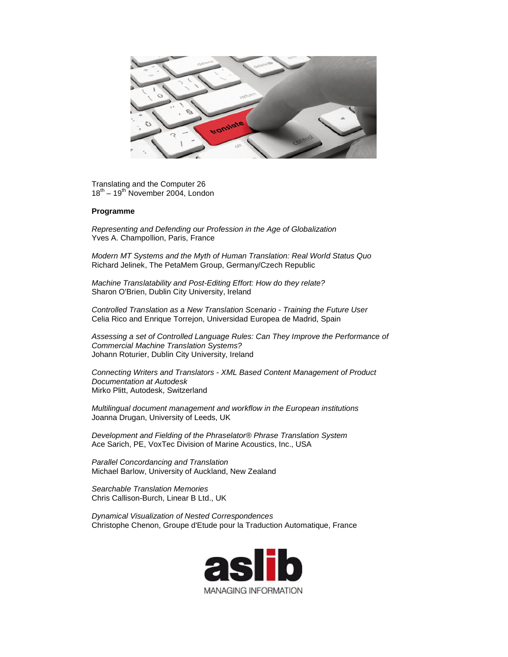translate

Translating and the Computer 26  $18^{th}$  –  $19^{th}$  November 2004, London

## **Programme**

*Representing and Defending our Profession in the Age of Globalization* Yves A. Champollion, Paris, France

*Modern MT Systems and the Myth of Human Translation: Real World Status Quo* Richard Jelinek, The PetaMem Group, Germany/Czech Republic

*Machine Translatability and Post-Editing Effort: How do they relate?* Sharon O'Brien, Dublin City University, Ireland

*Controlled Translation as a New Translation Scenario - Training the Future User* Celia Rico and Enrique Torrejon, Universidad Europea de Madrid, Spain

*Assessing a set of Controlled Language Rules: Can They Improve the Performance of Commercial Machine Translation Systems?* Johann Roturier, Dublin City University, Ireland

*Connecting Writers and Translators - XML Based Content Management of Product Documentation at Autodesk* Mirko Plitt, Autodesk, Switzerland

*Multilingual document management and workflow in the European institutions* Joanna Drugan, University of Leeds, UK

*Development and Fielding of the Phraselator® Phrase Translation System* Ace Sarich, PE, VoxTec Division of Marine Acoustics, Inc., USA

*Parallel Concordancing and Translation* Michael Barlow, University of Auckland, New Zealand

*Searchable Translation Memories* Chris Callison-Burch, Linear B Ltd., UK

*Dynamical Visualization of Nested Correspondences* Christophe Chenon, Groupe d'Etude pour la Traduction Automatique, France